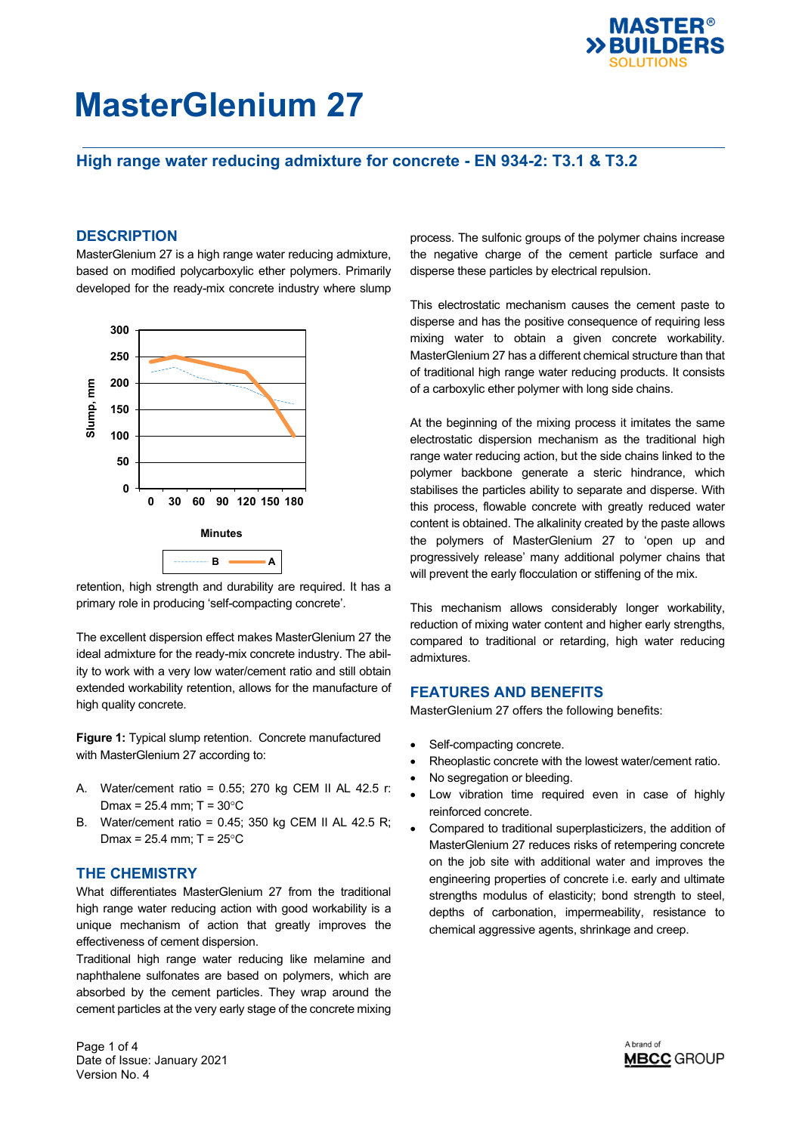

## **High range water reducing admixture for concrete - EN 934-2: T3.1 & T3.2**

### **DESCRIPTION**

MasterGlenium 27 is a high range water reducing admixture, based on modified polycarboxylic ether polymers. Primarily developed for the ready-mix concrete industry where slump



retention, high strength and durability are required. It has a primary role in producing 'self-compacting concrete'.

The excellent dispersion effect makes MasterGlenium 27 the ideal admixture for the ready-mix concrete industry. The ability to work with a very low water/cement ratio and still obtain extended workability retention, allows for the manufacture of high quality concrete.

**Figure 1:** Typical slump retention. Concrete manufactured with MasterGlenium 27 according to:

- A. Water/cement ratio = 0.55; 270 kg CEM II AL 42.5 r: Dmax =  $25.4$  mm; T =  $30^{\circ}$ C
- B. Water/cement ratio = 0.45; 350 kg CEM II AL 42.5 R; Dmax =  $25.4$  mm; T =  $25^{\circ}$ C

#### **THE CHEMISTRY**

What differentiates MasterGlenium 27 from the traditional high range water reducing action with good workability is a unique mechanism of action that greatly improves the effectiveness of cement dispersion.

Traditional high range water reducing like melamine and naphthalene sulfonates are based on polymers, which are absorbed by the cement particles. They wrap around the cement particles at the very early stage of the concrete mixing process. The sulfonic groups of the polymer chains increase the negative charge of the cement particle surface and disperse these particles by electrical repulsion.

This electrostatic mechanism causes the cement paste to disperse and has the positive consequence of requiring less mixing water to obtain a given concrete workability. MasterGlenium 27 has a different chemical structure than that of traditional high range water reducing products. It consists of a carboxylic ether polymer with long side chains.

At the beginning of the mixing process it imitates the same electrostatic dispersion mechanism as the traditional high range water reducing action, but the side chains linked to the polymer backbone generate a steric hindrance, which stabilises the particles ability to separate and disperse. With this process, flowable concrete with greatly reduced water content is obtained. The alkalinity created by the paste allows the polymers of MasterGlenium 27 to 'open up and progressively release' many additional polymer chains that will prevent the early flocculation or stiffening of the mix.

This mechanism allows considerably longer workability, reduction of mixing water content and higher early strengths, compared to traditional or retarding, high water reducing admixtures.

#### **FEATURES AND BENEFITS**

MasterGlenium 27 offers the following benefits:

- Self-compacting concrete.
- Rheoplastic concrete with the lowest water/cement ratio.
- No segregation or bleeding.
- Low vibration time required even in case of highly reinforced concrete.
- Compared to traditional superplasticizers, the addition of MasterGlenium 27 reduces risks of retempering concrete on the job site with additional water and improves the engineering properties of concrete i.e. early and ultimate strengths modulus of elasticity; bond strength to steel, depths of carbonation, impermeability, resistance to chemical aggressive agents, shrinkage and creep.

Page 1 of 4 Date of Issue: January 2021 Version No. 4

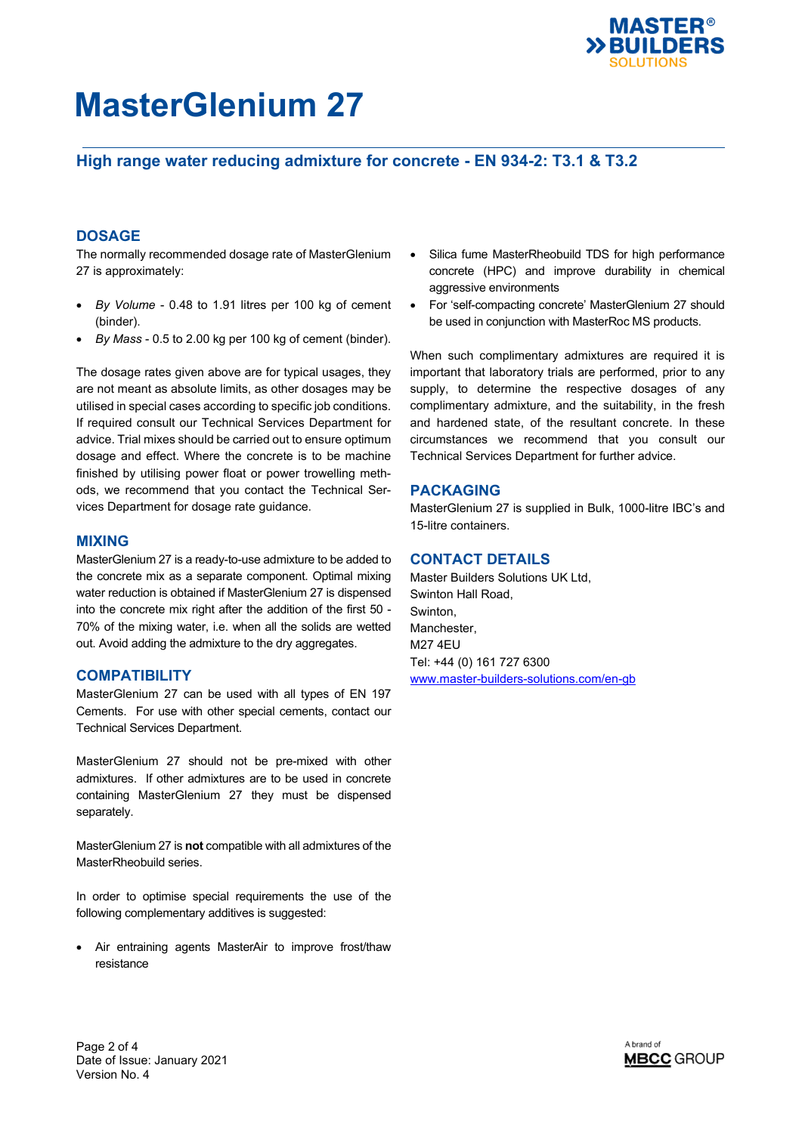

## **High range water reducing admixture for concrete - EN 934-2: T3.1 & T3.2**

## **DOSAGE**

The normally recommended dosage rate of MasterGlenium 27 is approximately:

- *By Volume* 0.48 to 1.91 litres per 100 kg of cement (binder).
- *By Mass*  0.5 to 2.00 kg per 100 kg of cement (binder).

The dosage rates given above are for typical usages, they are not meant as absolute limits, as other dosages may be utilised in special cases according to specific job conditions. If required consult our Technical Services Department for advice. Trial mixes should be carried out to ensure optimum dosage and effect. Where the concrete is to be machine finished by utilising power float or power trowelling methods, we recommend that you contact the Technical Services Department for dosage rate guidance.

### **MIXING**

MasterGlenium 27 is a ready-to-use admixture to be added to the concrete mix as a separate component. Optimal mixing water reduction is obtained if MasterGlenium 27 is dispensed into the concrete mix right after the addition of the first 50 - 70% of the mixing water, i.e. when all the solids are wetted out. Avoid adding the admixture to the dry aggregates.

#### **COMPATIBILITY**

MasterGlenium 27 can be used with all types of EN 197 Cements. For use with other special cements, contact our Technical Services Department.

MasterGlenium 27 should not be pre-mixed with other admixtures. If other admixtures are to be used in concrete containing MasterGlenium 27 they must be dispensed separately.

MasterGlenium 27 is **not** compatible with all admixtures of the MasterRheobuild series.

In order to optimise special requirements the use of the following complementary additives is suggested:

 Air entraining agents MasterAir to improve frost/thaw resistance

- Silica fume MasterRheobuild TDS for high performance concrete (HPC) and improve durability in chemical aggressive environments
- For 'self-compacting concrete' MasterGlenium 27 should be used in conjunction with MasterRoc MS products.

When such complimentary admixtures are required it is important that laboratory trials are performed, prior to any supply, to determine the respective dosages of any complimentary admixture, and the suitability, in the fresh and hardened state, of the resultant concrete. In these circumstances we recommend that you consult our Technical Services Department for further advice.

### **PACKAGING**

MasterGlenium 27 is supplied in Bulk, 1000-litre IBC's and 15-litre containers.

### **CONTACT DETAILS**

Master Builders Solutions UK Ltd, Swinton Hall Road, Swinton, Manchester, M27 4EU Tel: +44 (0) 161 727 6300 [www.master-builders-solutions.com/en-gb](http://www.master-builders-solutions.com/en-gb)

Page 2 of 4 Date of Issue: January 2021 Version No. 4

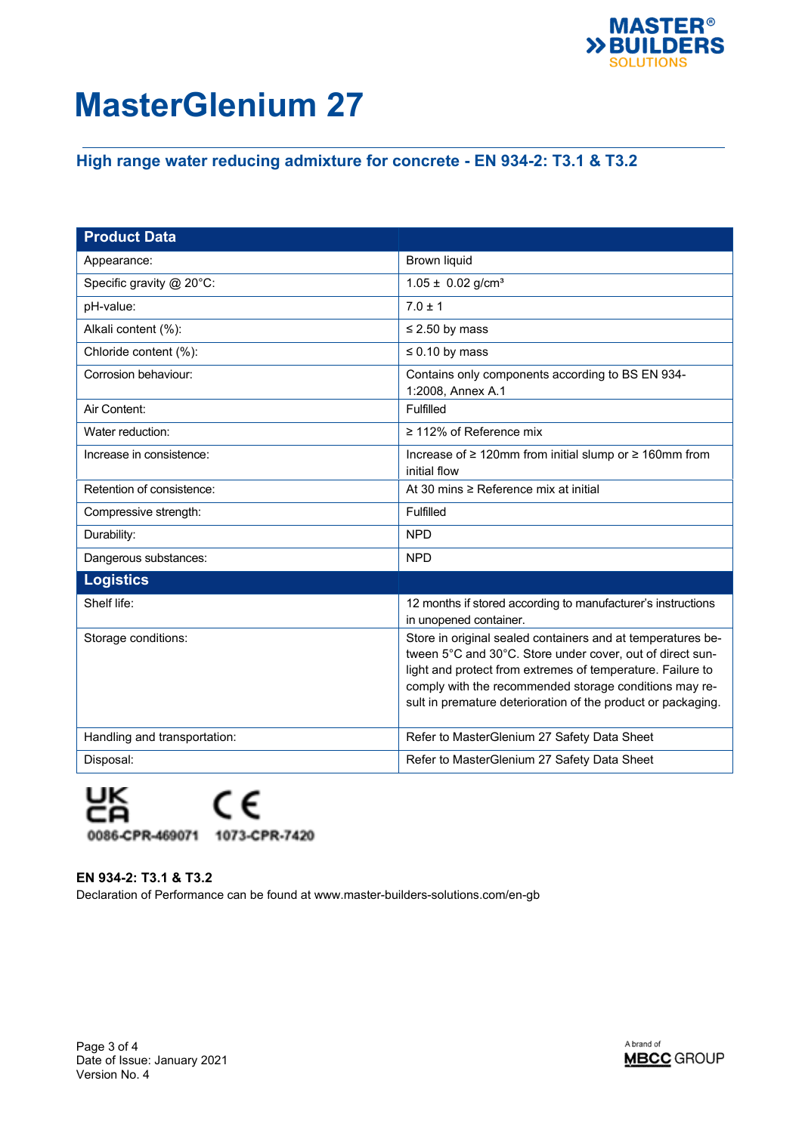

# **High range water reducing admixture for concrete - EN 934-2: T3.1 & T3.2**

| <b>Product Data</b>          |                                                                                                                                                                                                                                                                                                                  |
|------------------------------|------------------------------------------------------------------------------------------------------------------------------------------------------------------------------------------------------------------------------------------------------------------------------------------------------------------|
| Appearance:                  | <b>Brown liquid</b>                                                                                                                                                                                                                                                                                              |
| Specific gravity @ 20°C:     | $1.05 \pm 0.02$ g/cm <sup>3</sup>                                                                                                                                                                                                                                                                                |
| pH-value:                    | $7.0 \pm 1$                                                                                                                                                                                                                                                                                                      |
| Alkali content (%):          | $\leq$ 2.50 by mass                                                                                                                                                                                                                                                                                              |
| Chloride content (%):        | $\leq 0.10$ by mass                                                                                                                                                                                                                                                                                              |
| Corrosion behaviour:         | Contains only components according to BS EN 934-<br>1:2008, Annex A.1                                                                                                                                                                                                                                            |
| Air Content:                 | Fulfilled                                                                                                                                                                                                                                                                                                        |
| Water reduction:             | $\geq$ 112% of Reference mix                                                                                                                                                                                                                                                                                     |
| Increase in consistence:     | Increase of ≥ 120mm from initial slump or ≥ 160mm from<br>initial flow                                                                                                                                                                                                                                           |
| Retention of consistence:    | At 30 mins ≥ Reference mix at initial                                                                                                                                                                                                                                                                            |
| Compressive strength:        | Fulfilled                                                                                                                                                                                                                                                                                                        |
| Durability:                  | <b>NPD</b>                                                                                                                                                                                                                                                                                                       |
| Dangerous substances:        | <b>NPD</b>                                                                                                                                                                                                                                                                                                       |
| <b>Logistics</b>             |                                                                                                                                                                                                                                                                                                                  |
| Shelf life:                  | 12 months if stored according to manufacturer's instructions<br>in unopened container.                                                                                                                                                                                                                           |
| Storage conditions:          | Store in original sealed containers and at temperatures be-<br>tween 5°C and 30°C. Store under cover, out of direct sun-<br>light and protect from extremes of temperature. Failure to<br>comply with the recommended storage conditions may re-<br>sult in premature deterioration of the product or packaging. |
| Handling and transportation: | Refer to MasterGlenium 27 Safety Data Sheet                                                                                                                                                                                                                                                                      |
| Disposal:                    | Refer to MasterGlenium 27 Safety Data Sheet                                                                                                                                                                                                                                                                      |



**EN 934-2: T3.1 & T3.2** Declaration of Performance can be found at www.master-builders-solutions.com/en-gb